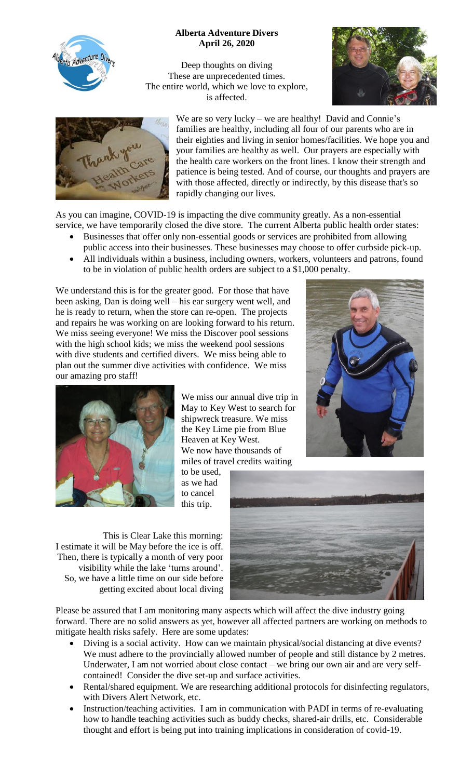

## **Alberta Adventure Divers April 26, 2020**

Deep thoughts on diving These are unprecedented times. The entire world, which we love to explore, is affected.





We are so very lucky – we are healthy! David and Connie's families are healthy, including all four of our parents who are in their eighties and living in senior homes/facilities. We hope you and your families are healthy as well. Our prayers are especially with the health care workers on the front lines. I know their strength and patience is being tested. And of course, our thoughts and prayers are with those affected, directly or indirectly, by this disease that's so rapidly changing our lives.

As you can imagine, COVID-19 is impacting the dive community greatly. As a non-essential service, we have temporarily closed the dive store. The current Alberta public health order states:

- Businesses that offer only non-essential goods or services are prohibited from allowing public access into their businesses. These businesses may choose to offer curbside pick-up.
- All individuals within a business, including owners, workers, volunteers and patrons, found to be in violation of public health orders are subject to a \$1,000 penalty.

We understand this is for the greater good. For those that have been asking, Dan is doing well – his ear surgery went well, and he is ready to return, when the store can re-open. The projects and repairs he was working on are looking forward to his return. We miss seeing everyone! We miss the Discover pool sessions with the high school kids; we miss the weekend pool sessions with dive students and certified divers. We miss being able to plan out the summer dive activities with confidence. We miss our amazing pro staff!





We miss our annual dive trip in May to Key West to search for shipwreck treasure. We miss the Key Lime pie from Blue Heaven at Key West. We now have thousands of miles of travel credits waiting

to be used, as we had to cancel this trip.

This is Clear Lake this morning: I estimate it will be May before the ice is off. Then, there is typically a month of very poor visibility while the lake 'turns around'. So, we have a little time on our side before getting excited about local diving



Please be assured that I am monitoring many aspects which will affect the dive industry going forward. There are no solid answers as yet, however all affected partners are working on methods to mitigate health risks safely. Here are some updates:

- Diving is a social activity. How can we maintain physical/social distancing at dive events? We must adhere to the provincially allowed number of people and still distance by 2 metres. Underwater, I am not worried about close contact – we bring our own air and are very selfcontained! Consider the dive set-up and surface activities.
- Rental/shared equipment. We are researching additional protocols for disinfecting regulators, with Divers Alert Network, etc.
- Instruction/teaching activities. I am in communication with PADI in terms of re-evaluating how to handle teaching activities such as buddy checks, shared-air drills, etc. Considerable thought and effort is being put into training implications in consideration of covid-19.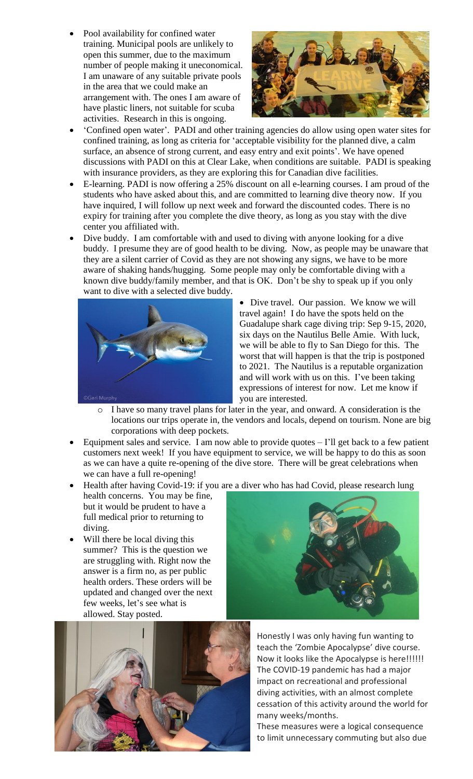Pool availability for confined water training. Municipal pools are unlikely to open this summer, due to the maximum number of people making it uneconomical. I am unaware of any suitable private pools in the area that we could make an arrangement with. The ones I am aware of have plastic liners, not suitable for scuba activities. Research in this is ongoing.



- 'Confined open water'. PADI and other training agencies do allow using open water sites for confined training, as long as criteria for 'acceptable visibility for the planned dive, a calm surface, an absence of strong current, and easy entry and exit points'. We have opened discussions with PADI on this at Clear Lake, when conditions are suitable. PADI is speaking with insurance providers, as they are exploring this for Canadian dive facilities.
- E-learning. PADI is now offering a 25% discount on all e-learning courses. I am proud of the students who have asked about this, and are committed to learning dive theory now. If you have inquired, I will follow up next week and forward the discounted codes. There is no expiry for training after you complete the dive theory, as long as you stay with the dive center you affiliated with.
- Dive buddy. I am comfortable with and used to diving with anyone looking for a dive buddy. I presume they are of good health to be diving. Now, as people may be unaware that they are a silent carrier of Covid as they are not showing any signs, we have to be more aware of shaking hands/hugging. Some people may only be comfortable diving with a known dive buddy/family member, and that is OK. Don't be shy to speak up if you only want to dive with a selected dive buddy.



• Dive travel. Our passion. We know we will travel again! I do have the spots held on the Guadalupe shark cage diving trip: Sep 9-15, 2020, six days on the Nautilus Belle Amie. With luck, we will be able to fly to San Diego for this. The worst that will happen is that the trip is postponed to 2021. The Nautilus is a reputable organization and will work with us on this. I've been taking expressions of interest for now. Let me know if you are interested.

- o I have so many travel plans for later in the year, and onward. A consideration is the locations our trips operate in, the vendors and locals, depend on tourism. None are big corporations with deep pockets.
- Equipment sales and service. I am now able to provide quotes  $-1$ 'll get back to a few patient customers next week! If you have equipment to service, we will be happy to do this as soon as we can have a quite re-opening of the dive store. There will be great celebrations when we can have a full re-opening!
- Health after having Covid-19: if you are a diver who has had Covid, please research lung health concerns. You may be fine, but it would be prudent to have a full medical prior to returning to diving.
- Will there be local diving this summer? This is the question we are struggling with. Right now the answer is a firm no, as per public health orders. These orders will be updated and changed over the next few weeks, let's see what is allowed. Stay posted.



Honestly I was only having fun wanting to teach the 'Zombie Apocalypse' dive course. Now it looks like the Apocalypse is here!!!!!! The COVID-19 pandemic has had a major impact on recreational and professional diving activities, with an almost complete cessation of this activity around the world for many weeks/months.

These measures were a logical consequence to limit unnecessary commuting but also due